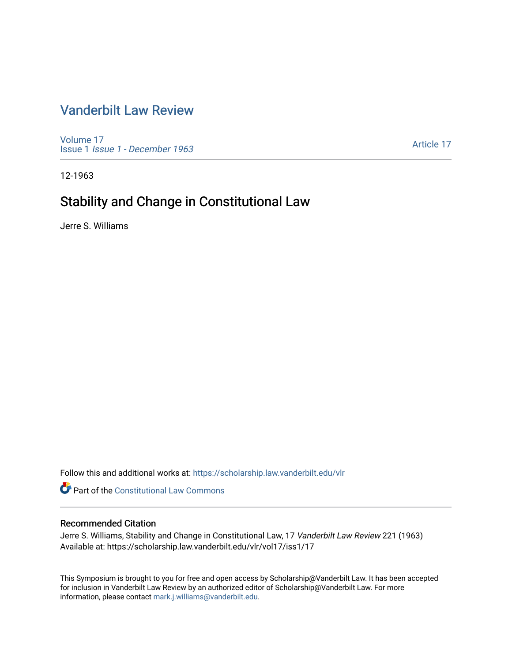## [Vanderbilt Law Review](https://scholarship.law.vanderbilt.edu/vlr)

[Volume 17](https://scholarship.law.vanderbilt.edu/vlr/vol17) Issue 1 [Issue 1 - December 1963](https://scholarship.law.vanderbilt.edu/vlr/vol17/iss1) 

[Article 17](https://scholarship.law.vanderbilt.edu/vlr/vol17/iss1/17) 

12-1963

# Stability and Change in Constitutional Law

Jerre S. Williams

Follow this and additional works at: [https://scholarship.law.vanderbilt.edu/vlr](https://scholarship.law.vanderbilt.edu/vlr?utm_source=scholarship.law.vanderbilt.edu%2Fvlr%2Fvol17%2Fiss1%2F17&utm_medium=PDF&utm_campaign=PDFCoverPages)

**Part of the Constitutional Law Commons** 

#### Recommended Citation

Jerre S. Williams, Stability and Change in Constitutional Law, 17 Vanderbilt Law Review 221 (1963) Available at: https://scholarship.law.vanderbilt.edu/vlr/vol17/iss1/17

This Symposium is brought to you for free and open access by Scholarship@Vanderbilt Law. It has been accepted for inclusion in Vanderbilt Law Review by an authorized editor of Scholarship@Vanderbilt Law. For more information, please contact [mark.j.williams@vanderbilt.edu](mailto:mark.j.williams@vanderbilt.edu).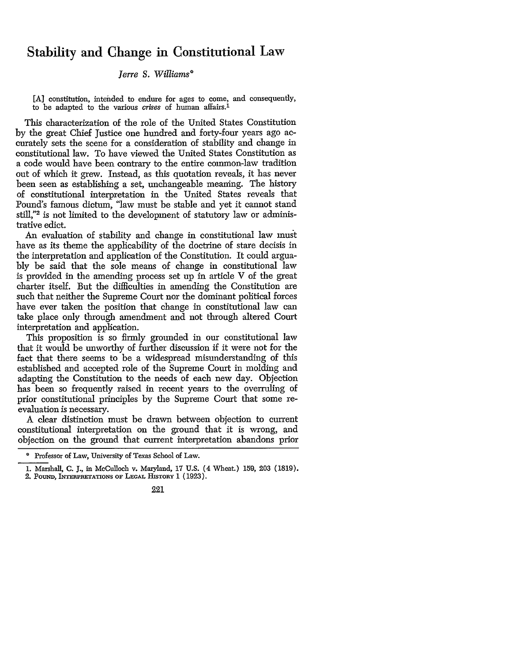### Stability and Change in Constitutional Law

#### *lerre S. Williams\**

[A] constitution, intended to endure for ages to come, and consequently, to be adapted to the various crises of human affairs.<sup>1</sup>

This characterization of the role of the United States Constitution by the great Chief Justice one hundred and forty-four years ago accurately sets the scene for a consideration of stability and change in constitutional law. To have viewed the United States Constitution as a code would have been contrary to the entire common-law tradition out of which it grew. Instead, as this quotation reveals, it has never been seen as establishing a set, unchangeable meaning. The history of constitutional interpretation in the United States reveals that Pound's famous dictum, 'law must be stable and yet it cannot stand still,"2 is not limited to the development of statutory law or administrative edict.

An evaluation of stability and change in constitutional law must have as its theme the applicability of the doctrine of stare decisis in the interpretation and application of the Constitution. It could arguably be said that the sole means of change in constitutional law is provided in the amending process set up in article V of the great charter itself. But the difficulties in amending the Constitution are such that neither the Supreme Court nor the dominant political forces have ever taken the position that change in constitutional law can take place only through amendment and not through altered Court interpretation and application.

This proposition is so firmly grounded in our constitutional law that it would be unworthy of further discussion if it were not for the fact that there seems to be a widespread misunderstanding of this established and accepted role of the Supreme Court in molding and adapting the Constitution to the needs of each new day. Objection has been so frequently raised in recent years to the overruling of prior constitutional principles by the Supreme Court that some reevaluation is necessary.

A clear distinction must be drawn between objection to current constitutional interpretation on the ground that it is wrong, and objection on the ground that current interpretation abandons prior

<sup>&</sup>lt;sup>o</sup> Professor of Law, University of Texas School of Law.

<sup>1.</sup> Marshall, C. **J.,** in McCulloch v. Maryland, 17 U.S. (4 Wheat.) 159, 203 (1819). 2. PoUND, INTERPRETATIONs OF **LEGAL HISTORY** 1 (1923).

<sup>221</sup>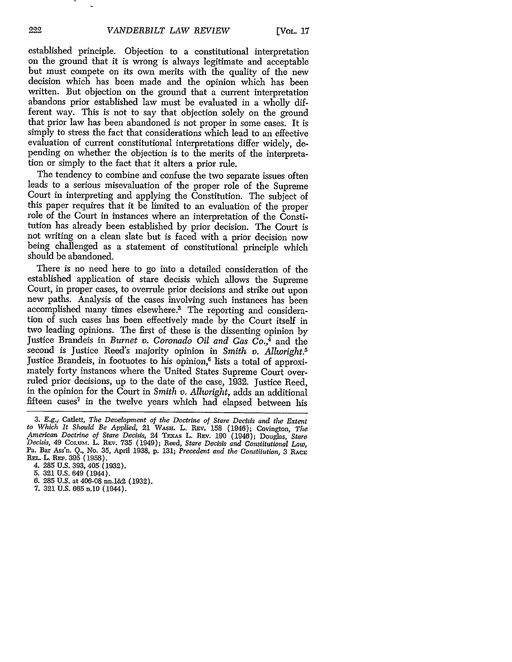established principle. Objection to a constitutional interpretation on the ground that it is wrong is always legitimate and acceptable but must compete on its own merits with the quality of the new decision which has been made and the opinion which has been written. But objection on the ground that a current interpretation abandons prior established law must be evaluated in a wholly different way. This is not to say that objection solely on the ground that prior law has been abandoned is not proper in some cases. It is simply to stress the fact that considerations which lead to an effective evaluation of current constitutional interpretations differ widely, depending on whether the objection is to the merits of the interpretation or simply to the fact that it alters a prior rule.

The tendency to combine and confuse the two separate issues often leads to a serious misevaluation of the proper role of the Supreme Court in interpreting and applying the Constitution. The subject of this paper requires that it be limited to an evaluation of the proper role of the Court in instances where an interpretation of the Constitution has already been established by prior decision. The Court is not writing on a clean slate but is faced with a prior decision now being challenged as a statement of constitutional principle which should be abandoned.

There is no need here to go into a detailed consideration of the established application of stare decisis which allows the Supreme Court, in proper cases, to overrule prior decisions and strike out upon new paths. Analysis of the cases involving such instances has been accomplished many times elsewhere.3 The reporting and consideration of such cases has been effectively made by the Court itself in two leading opinions. The first of these is the dissenting opinion by Justice Brandeis in *Burnet v. Coronado Oil and Gas Co.,4* and the second is Justice Reed's majority opinion in *Smith v. Allwright.5* Justice Brandeis, in footuotes to his opinion,<sup>6</sup> lists a total of approximately forty instances where the United States Supreme Court overruled prior decisions, up to the date of the case, 1932. Justice Reed, in the opinion for the Court in *Smith v. Allwright,* adds an additional fifteen cases<sup>7</sup> in the twelve years which had elapsed between his

- 6. 285 U.S. at 406-08 nn.1&2 (1932).
- 7. 321 U.S. 665 n.10 (1944).

222

<sup>3.</sup> E.g.,. Catlett, *The Development of the Doctrine of Stare Decisis and tiw Extent to Which It Should Be Applied,* 21 **WAsH.** L. REv. 158 (1946); Covington, *Tho* American Doctrine of Stare Decisis, 24 TExas L. REv. 190 (1946); Douglas, Stare<br>Decisis, 49 Colum. L. REv. 735 (1949); Reed, Stare Decisis and Constitutional Law,<br>Pa. Bar Ass'n. Q., No. 35, April 1938, p. 131; Precedent an Pa. Bar Ass'n. Q., No. 35, April 1938, p. 131; Precedent and the Constitution, 3 RACE REL. L. REP. 395 (1958).

<sup>4. 285</sup> U.S. 393, 405 (1932).

<sup>5. 321</sup> U.S. 649 (1944).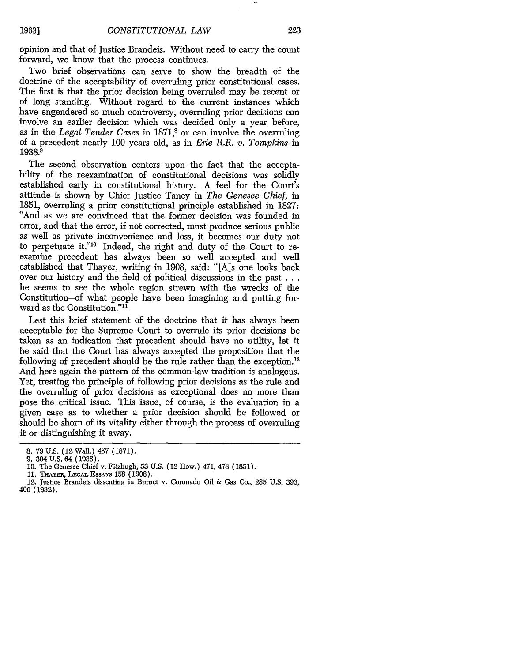opinion and that of Justice Brandeis. Without need to carry the count forward, we know that the process continues.

Two brief observations can serve to show the breadth of the doctrine of the acceptability of overruling prior constitutional cases. The first is that the prior decision being overruled may be recent or of long standing. Without regard to the current instances which have engendered so much controversy, overruling prior decisions can involve an earlier decision which was decided only a year before, as in the *Legal Tender Cases* in 1871,<sup>8</sup> or can involve the overruling of a precedent nearly 100 years old, as in *Erie R.R. v. Tompkins* in 1938.9

The second observation centers upon the fact that the acceptability of the reexamination of constitutional decisions was solidly established early in constitutional history. A feel for the Court's attitude is shown by Chief Justice Taney in *The Genesee Chief,* in 1851, overruling a prior constitutional principle established in 1827: "And as we are convinced that the former decision was founded in error, and that the error, if not corrected, must produce serious public as well as private inconvenience and loss, it becomes our duty not to perpetuate it."10 Indeed, the right and duty of the Court to reexamine precedent has always been so well accepted and well established that Thayer, writing in 1908, said: "[A]s one looks back over our history and the field of political discussions in the past **...** he seems to see the whole region strewn with the wrecks of the Constitution-of what people have been imagining and putting forward as the Constitution."<sup>11</sup>

Lest this brief statement of the doctrine that it has always been acceptable for the Supreme Court to overrule its prior decisions be taken as an indication that precedent should have no utility, let it be said that the Court has always accepted the proposition that the following of precedent should be the rule rather than the exception.<sup>12</sup> And here again the pattern of the common-law tradition is analogous. Yet, treating the principle of following prior decisions as the rule and the overruling of prior decisions as exceptional does no more than pose the critical issue. This issue, of course, is the evaluation in a given case as to whether a prior decision should be followed or should be shorn of its vitality either through the process of overruling it or distinguishing it away.

- 11. **THAYER, LEGAL** ESSAYS 158 (1908).
- 12. Justice Brandeis dissenting in Burnet v. Coronado Oil & Gas Co., 285 U.S. 393, 406 (1932).

**<sup>8.</sup>** 79 **U.S.** (12 Wall.) 457 (1871).

<sup>9. 304</sup> U.S. 64 (1938).

<sup>10.</sup> The Genesee Chief v. Fitzhugh, 53 U.S. (12 How.) 471, 478 (1851).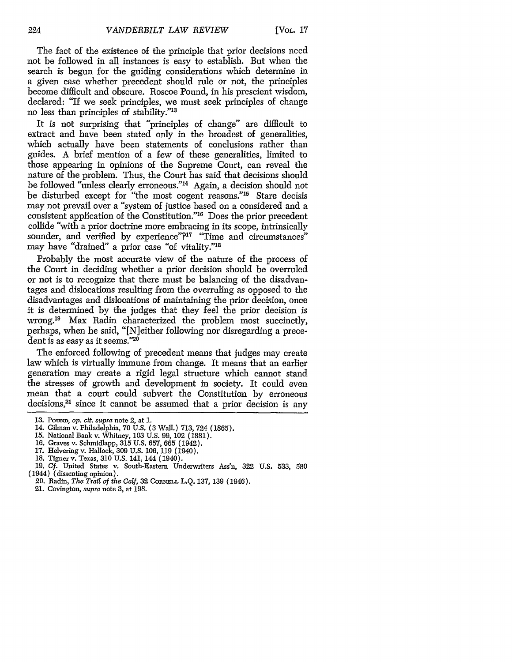The fact of the existence of the principle that prior decisions need not be followed in all instances is easy to establish. But when the search is begun for the guiding considerations which determine in a given case whether precedent should rule or not, the principles become difficult and obscure. Roscoe Pound, in his prescient wisdom, declared: "If we seek principles, we must seek principles of change no less than principles of stability."<sup>13</sup>

It is not surprising that "principles of change" are difficult to extract and have been stated only in the broadest of generalities, which actually have been statements of conclusions rather than guides. A brief mention of a few of these generalities, limited to those appearing in opinions of the Supreme Court, can reveal the nature of the problem. Thus, the Court has said that decisions should be followed "unless clearly erroneous."<sup>14</sup> Again, a decision should not be disturbed except for "the most cogent reasons."<sup>15</sup> Stare decisis may not prevail over a "system of justice based on a considered and a consistent application of the Constitution."<sup>16</sup> Does the prior precedent collide "with a prior doctrine more embracing in its scope, intrinsically sounder, and verified by experience"?<sup>17</sup> "Time and circumstances" may have "drained" a prior case "of vitality."<sup>18</sup>

Probably the most accurate view of the nature of the process of the Court in deciding whether a prior decision should be overruled or not is to recognize that there must be balancing of the disadvantages and dislocations resulting from the overruling as opposed to the disadvantages and dislocations of maintaining the prior decision, once it is determined by the judges that they feel the prior decision is wrong.<sup>19</sup> Max Radin characterized the problem most succinctly, perhaps, when he said, "[N]either following nor disregarding a precedent is as easy as it seems."20

The enforced following of precedent means that judges may create law which is virtually immune from change. It means that an earlier generation may create a rigid legal structure which cannot stand the stresses of growth and development in society. It could even mean that a court could subvert the Constitution by erroneous decisions, $21$  since it cannot be assumed that a prior decision is any

- 17. Helvering v. Hallock, 309 U.S. 106, 119 (1940).
- 18. Tigner v. Texas, 310 U.S. 141, 144 (1940).
- 19. **Cf.** United States v. South-Eastern Underwriters Ass'n, 322 U.S. 533, 580 (1944) (dissenting opinion).
	- 20. Radin, *The Trail of the Calf,* 32 CORNELL L.Q. 137, 139 (1946).
	- 21. Covington, *supra* note 3, at 198.

<sup>13.</sup> **POuND,** op. *cit. supra* note 2, at 1.

<sup>14.</sup> Gilman v. Philadelphia, 70 U.S. (3 Wall.) 713, 724 (1865).

<sup>15.</sup> National Bank v. Whitney, **103** U.S. 99, 102 (1881).

<sup>16.</sup> Graves v. Schmidlapp, 315 U.S. 657, 665 (1942).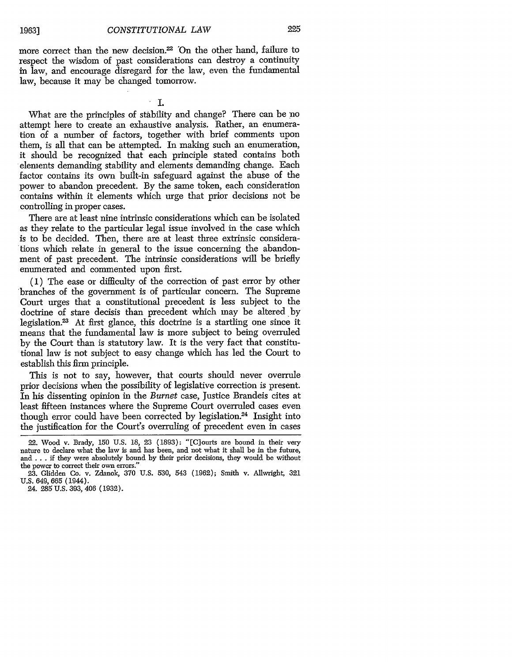more correct than the new decision.<sup>22</sup> On the other hand, failure to respect the wisdom of past considerations can destroy a continuity in law, and encourage disregard for the law, even the fundamental law, because it may be changed tomorrow.

I.

What are the principles of stability and change? There can be no attempt here to create an exhaustive analysis. Rather, an enumeration of a number of factors, together with brief comments upon them, is all that can be attempted. In making such an enumeration, it should be recognized that each principle stated contains both elements demanding stability and elements demanding change. Each factor contains its own built-in safeguard against the abuse of the power to abandon precedent. By the same token, each consideration contains within it elements which urge that prior decisions not be controlling in proper cases.

There are at least nine intrinsic considerations which can be isolated as they relate to the particular legal issue involved in the case which is to be decided. Then, there are at least three extrinsic considerations which relate in general to the issue concerning the abandonment of past precedent. The intrinsic considerations will be briefly enumerated and commented upon first.

(1) The ease or difficulty of the correction of past error by other branches of the government is of particular concern. The Supreme Court urges that a constitutional precedent is less subject to the doctrine of stare decisis than precedent which may be altered by legislation.<sup>23</sup> At first glance, this doctrine is a startling one since it means that the fundamental law is more subject to being overruled by the Court than is statutory law. It is the very fact that constitutional law is not subject to easy change which has led the Court to establish this firm principle.

This is not to say, however, that courts should never overrule prior decisions when the possibility of legislative correction is present. In his dissenting opinion in the *Burnet* case, Justice Brandeis cites at least fifteen instances where the Supreme Court overruled cases even though error could have been corrected by legislation.<sup>24</sup> Insight into the justification for the Court's overruling of precedent even in cases

<sup>22.</sup> Wood v. Brady, 150 U.S. 18, 23 (1893): "[C]ourts are bound in their very nature to declare what the law is and has been, and not what it shall be in the future, and . . if they were absolutely bound by their prior decisions, they would be without the power to correct their own errors."

<sup>23.</sup> Glidden Co. v. Zdanok, 370 U.S. 530, 543 (1962); Smith v. Allwright, 321 U.S. 649, 665 (1944).

<sup>24.</sup> **285** U.S. 393, 406 (1932).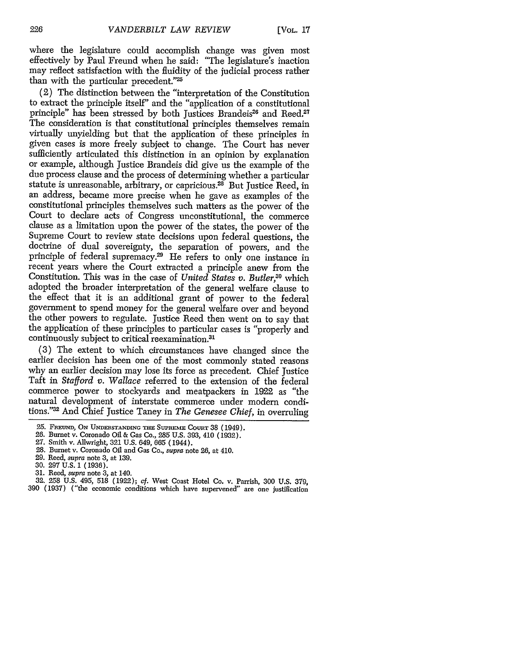where the legislature could accomplish change was given most effectively by Paul Freund when he said: "The legislature's inaction may reflect satisfaction with the fluidity of the judicial process rather than with the particular precedent."25

(2) The distinction between the "interpretation of the Constitution to extract the principle itself' and the "application of a constitutional principle" has been stressed by both Justices Brandeis<sup>26</sup> and Reed.<sup>27</sup> The consideration is that constitutional principles themselves remain virtually unyielding but that the application of these principles in given cases is more freely subject to change. The Court has never sufficiently articulated this distinction in an opinion by explanation or example, although Justice Brandeis did give us the example of the due process clause and the process of determining whether a particular statute is unreasonable, arbitrary, or capricious.<sup>28</sup> But Justice Reed, in an address, became more precise when he gave as examples of the constitutional principles themselves such matters as the power of the Court to declare acts of Congress unconstitutional, the commerce clause as a limitation upon the power of the states, the power of the Supreme Court to review state decisions upon federal questions, the doctrine of dual sovereignty, the separation of powers, and the principle of federal supremacy.<sup>29</sup> He refers to only one instance in recent years where the Court extracted a principle anew from the Constitution. This was in the case of *United States v. Butler,20* which adopted the broader interpretation of the general welfare clause to the effect that it is an additional grant of power to the federal government to spend money for the general welfare over and beyond the other powers to regulate. Justice Reed then went on to say that the application of these principles to particular cases is "properly and continuously subject to critical reexamination.<sup>31</sup>

(3) The extent to which circumstances have changed since the earlier decision has been one of the most commonly stated reasons why an earlier decision may lose its force as precedent. Chief Justice Taft in *Stafford v. Wallace* referred to the extension of the federal commerce power to stockyards and meatpackers in 1922 as "the natural development of interstate commerce under modem conditions."m And Chief Justice Taney in *The Genesee Chief,* in overruling

<sup>25.</sup> FREUND, ON UNDERSTANDING THE SUPREME COURT 38 (1949).

<sup>26.</sup> Burnet v. Coronado Oil & Gas Co., 285 U.S. 393, 410 (1932).

<sup>27.</sup> Smith v. Allwright, 321 U.S. 649, 665 (1944).

<sup>28.</sup> Burnet v. Coronado Oil and Gas Co., supra note 26, at 410. 29. Reed, supra note 3, at 139.

<sup>30. 297</sup> U.S. 1 (1936).

<sup>31.</sup> Reed, supra note 3, at 140.

<sup>32. 258</sup> U.S. 495, 518 (1922); cf. West Coast Hotel Co. v. Parrish, 300 U.S. 379, 390 (1937) ("the economic conditions which have supervened" are one justification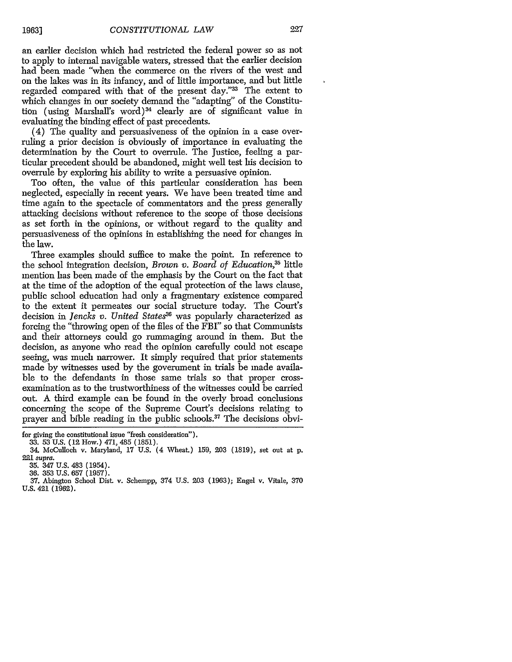an earlier decision which had restricted the federal power so as not to apply to internal navigable waters, stressed that the earlier decision had been made "when the commerce on the rivers of the west and on the lakes was in its infancy, and of little importance, and but little regarded compared with that of the present day."33 The extent to which changes in our society demand the "adapting" of the Constitution (using Marshall's word)<sup>34</sup> clearly are of significant value in evaluating the binding effect of past precedents.

(4) The quality and persuasiveness of the opinion in a case overruling a prior decision is obviously of importance in evaluating the determination by the Court to overrule. The Justice, feeling a particular precedent should be abandoned, might well test his decision to overrule by exploring his ability to write a persuasive opinion.

Too often, the value of this particular consideration has been neglected, especially in recent years. We have been treated time and time again to the spectacle of commentators and the press generally attacking decisions without reference to the scope of those decisions as set forth in the opinions, or without regard to the quality and persuasiveness of the opinions in establishing the need for changes in the law.

Three examples should suffice to make the point. In reference to the school integration decision, *Brown v. Board of Education,35* little mention has been made of the emphasis by the Court on the fact that at the time of the adoption of the equal protection of the laws clause, public school education had only a fragmentary existence compared to the extent it permeates our social structure today. The Court's decision in *Jencks v. United States36* was popularly characterized as forcing the "throwing open of the files of the FBI" so that Communists and their attorneys could go rummaging around in them. But the decision, as anyone who read the opinion carefully could not escape seeing, was much narrower. It simply required that prior statements made by witnesses used by the government in trials be made available to the defendants in those same trials so that proper crossexamination as to the trustworthiness of the witnesses could be carried out. A third example can be found in the overly broad conclusions concerning the scope of the Supreme Court's decisions relating to prayer and bible reading in the public schools.37 The decisions obvi-

for giving the constitutional issue "fresh consideration").

<sup>33. 53</sup> U.S. (12 How.) 471, 485 (1851).

<sup>34.</sup> McCulloch v. Maryland, **17** U.S. (4 Wheat.) 159, 203 (1819), set out at p. 221 supra.

<sup>35. 347</sup> U.S. 483 (1954).

<sup>36. 353</sup> U.S. 657 (1957).

<sup>37.</sup> Abington School Dist. v. Schempp, 374 U.S. 203 (1963); Engel v. Vitale, 370 U.S. 421 (1962).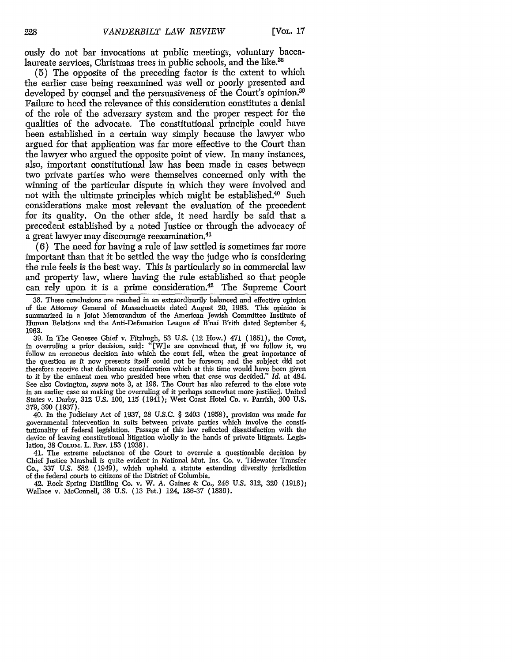ously do not bar invocations at public meetings, voluntary baccalaureate services, Christmas trees in public schools, and the like.<sup>38</sup>

(5) The opposite of the preceding factor is the extent to which the earlier case being reexamined was well or poorly presented and developed by counsel and the persuasiveness of the Court's opinion.<sup>39</sup> Failure to heed the relevance of this consideration constitutes a denial of the role of the adversary system and the proper respect for the qualities of the advocate. The constitutional principle could have been established in a certain way simply because the lawyer who argued for that application was far more effective to the Court than the lawyer who argued the opposite point of view. In many instances, also, important constitutional law has been made in cases between two private parties who were themselves concerned only with the winning of the particular dispute in which they were involved and not with the ultimate principles which might be established.<sup>40</sup> Such considerations make most relevant the evaluation of the precedent for its quality. On the other side, it need hardly be said that a precedent established by a noted Justice or through the advocacy of a great lawyer may discourage reexamination. <sup>41</sup>

(6) The need for having a rule of law settled is sometimes far more important than that it be settled the way the judge who is considering the rule feels is the best way. This is particularly so in commercial law and property law, where having the rule established so that people can rely upon it is a prime consideration.<sup>42</sup> The Supreme Court

38. These conclusions are reached in an extraordinarily balanced and effective opinion of the Attorney General of Massachusetts dated August 20, 1963. This opinion is summarized in a Joint Memorandum of the American Jewish Committee Institute of Human Relations and the Anti-Defamation League of B'nai B'rith dated September 4, 1963.

39. In The Genesee Chief v. Fitzhugh, 53 U.S. (12 How.) 471 (1851), the Court, in overruling a prior decision, said: "[W]e are convinced that, if we follow it, we follow an erroneous decision into which the court fell, when the great importance of the question as it now presents itself could not be forseen; and the subject did not therefore receive that deliberate consideration which at this time would have been given to it by the eminent men who presided here when that case was decided." *Id.* at 484, See also Covington, *supra* note 3, at 198. The Court has also referred to the elose vote in an earlier case as making the overruling of it perhaps somewhat more justified. United States v. Darby, 312 U.S. 100, 115 (1941); West Coast Hotel Co. v. Parrish, 300 U.S. 379,390 (1937).

40. In the Judiciary Act of 1937, 28 U.S.C. § 2403 (1958), provision was made for governmental intervention in suits between private parties which involve the constitutionality of federal legislation. Passage of this law reflected dissatisfaction with the device of leaving constitutional litigation wholly in the hands of private litigants. Legislation, 38 CoLum. L. **REV.** 153 (1938).

41. The extreme reluctance of the Court to overrule a questionable decision by Chief Justice Marshall is quite evident in National Mut. Ins. Co. v. Tidewater Transfer Co., 337 U.S. 582 (1949), which upheld a statute extending diversity jurisdiction of the federal courts to citizens of the District of Columbia.

42. Rock Spring Distilling Co. v. W. A. Gaines & Co., 246 U.S. 312, 320 (1918); Wallace v. McConnell, 38 U.S. (13 Pet.) 124, 136-37 (1839).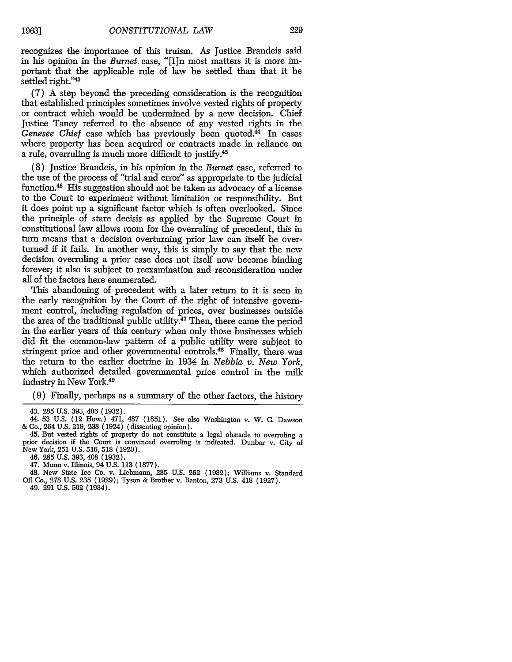recognizes the importance of this truism. As Justice Brandeis said in his opinion in the *Burnet.* case, "[I]n most matters it is more important that the applicable rule of law be settled than that it be settled right."43

(7) A step beyond the preceding consideration is the recognition that established principles sometimes involve vested rights of property or contract which would be undermined by a new decision. Chief Justice Taney referred to the absence of any vested rights in the Genesee Chief case which has previously been quoted.<sup>44</sup> In cases where property has been acquired or contracts made in reliance on a rule, overruling is much more difficult to justify.<sup>45</sup>

(8) Justice Brandeis, in his opinion in the *Burnet* case, referred to the use of the process of "trial and error" as appropriate to the judicial function.46 His suggestion should not be taken as advocacy of a license to the Court to experiment without limitation or responsibility. But it does point up a significant factor which is often overlooked. Since the principle of stare decisis as applied by the Supreme Court in constitutional law allows room for the overruling of precedent, this in turn means that a decision overturning prior law can itself be overturned if it fails. In another way, this is simply to say that the new decision overruling a prior case does not itself now become binding forever; it also is subject to reexamination and reconsideration under all of the factors here enumerated.

This abandoning of precedent with a later return to it is seen in the early recognition by the Court of the right of intensive government control, including regulation of prices, over businesses outside the area of the traditional public utility.<sup>47</sup> Then, there came the period in the earlier years of this century when only those businesses which did fit the common-law pattern of a public utility were subject to stringent price and other governmental controls.<sup>48</sup> Finally, there was the return to the earlier doctrine in 1934 in *Nebbia v. New York,* which authorized detailed governmental price control in the milk industry in New York.49

(9) Finally, perhaps as a summary of the other factors, the history

45. But vested rights of property do not constitute a legal obstacle to overruling a prior decision if the Court is convinced overruling is indicated. Dunbar v. City of New York, **251** U.S. 516, 518 (1920).

46. 285 U.S. 393, 408 (1932).

47. Munn v. Illinois, 94 U.S. 113 (1877).

48. New State Ice Co. v. Liebmann, 285 U.S. 262 (1932); Williams v. Standard Oil Co., **278** U.S. 235 (1929); Tyson & Brother v. Banton, **273** U.S. 418 (1927).

49. **291** U.S. **502** (1934).

**19631**

<sup>43. 285</sup> U.S. 393, 406 (1932).

<sup>44. 53</sup> U.S. (12 How.) 471, 487 (1851). See also Washington v. W. **C.** Dawson & Co., 264 U.S. 219, 238 (1924) (dissenting opinion).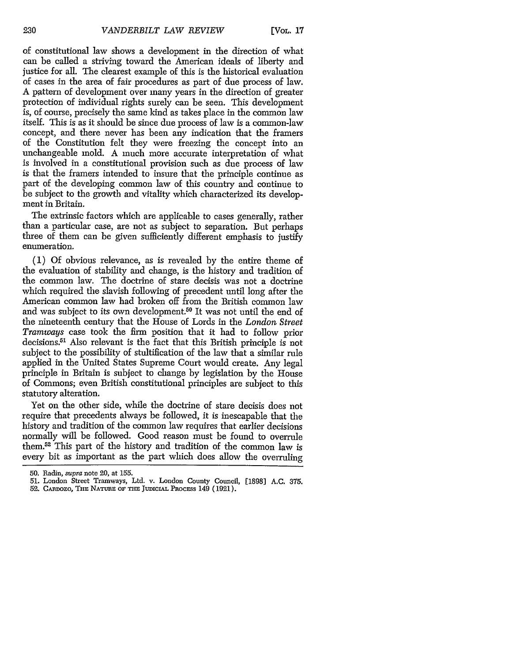of constitutional law shows a development in the direction of what can be called a striving toward the American ideals of liberty and justice for all. The clearest example of this is the historical evaluation of cases in the area of fair procedures as part of due process of law. A pattern of development over many years in the direction of greater protection of individual rights surely can be seen. This development is, of course, precisely the same kind as takes place in the common law itself. This is as it should be since due process of law is a common-law concept, and there never has been any indication that the framers of the Constitution felt they were freezing the concept into an unchangeable mold. A much more accurate interpretation of what is involved in a constitutional provision such as due process of law is that the framers intended to insure that the principle continue as part of the developing common law of this country and continue to be subject to the growth and vitality which characterized its development in Britain.

The extrinsic factors which are applicable to cases generally, rather than a particular case, are not as subject to separation. But perhaps three of them can be given sufficiently different emphasis to justify enumeration.

(1) Of obvious relevance, as is revealed by the entire theme of the evaluation of stability and change, is the history and tradition of the common law. The doctrine of stare decisis was not a doctrine which required the slavish following of precedent until long after the American common law had broken off from the British common law and was subject to its own development.<sup>50</sup> It was not until the end of the nineteenth century that the House of Lords in the *London Street Tramways* case took the firm position that it had to follow prior decisions.51 Also relevant is the fact that this British principle is not subject to the possibility of stultification of the law that a similar rule applied in the United States Supreme Court would create. Any legal principle in Britain is subject to change by legislation by the House of Commons; even British constitutional principles are subject to this statutory alteration.

Yet on the other side, while the doctrine of stare decisis does not require that precedents always be followed, it is inescapable that the history and tradition of the common law requires that earlier decisions normally will be followed. Good reason must be found to overrule them.52 This part of the history and tradition of the common law is every bit as important as the part which does allow the overruling

<sup>50.</sup> Radin, supra note 20, at 155.

<sup>51.</sup> London Street Tramways, Ltd. v. London County Council, [1898] A.C. 375.

<sup>52.</sup> CARDOZO, THE NATURE OF THE JUDICIAL PROCESS 149 (1921).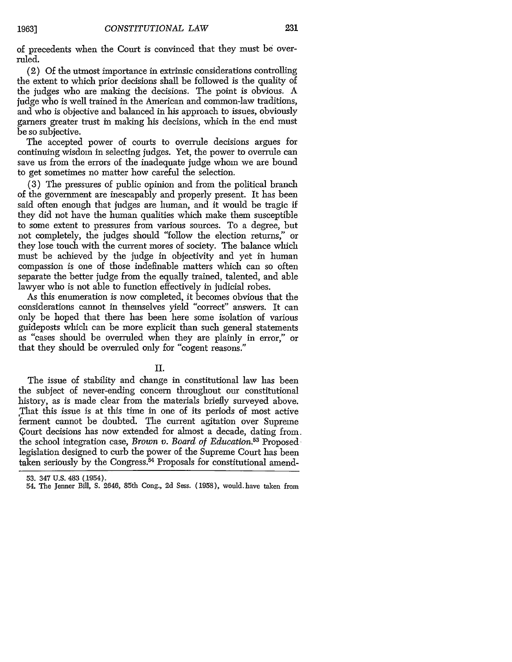of precedents when the Court is convinced that they must be overruled.

(2) Of the utmost importance in extrinsic considerations controlling the extent to which prior decisions shall be followed is the quality of the judges who are making the decisions. The point is obvious. A judge who is well trained in the American and common-law traditions, and who is objective and balanced in his approach to issues, obviously garners greater trust in making his decisions, which in the end must be so subjective.

The accepted power of courts to overrule decisions argues for continuing wisdom in selecting judges. Yet, the power to overrule can save us from the errors of the inadequate judge whom we are bound to get sometimes no matter how careful the selection.

(3) The pressures of public opinion and from the political branch of the government are inescapably and properly present. It has been said often enough that judges are human, and it would be tragic if they did not have the human qualities which make them susceptible to some extent to pressures from various sources. To a degree, but not completely, the judges should "follow the election returns," or they lose touch with the current mores of society. The balance which must be achieved by the judge in objectivity and yet in human compassion is one of those indefinable matters which can so often separate the better judge from the equally trained, talented, and able lawyer who is not able to function effectively in judicial robes.

As this enumeration is now completed, it becomes obvious that the considerations cannot in themselves yield "correct" answers. It can only be hoped that there has been here some isolation of various guideposts which can be more explicit than such general statements as "cases should be overruled when they are plainly in error," or that they should be overruled only for "cogent reasons."

II.

The issue of stability and change in constitutional law has been the subject of never-ending concern throughout our constitutional history, as is made clear from the materials briefly surveyed above. ,That this issue is at this time in one of its periods of most active ferment cannot be doubted. The current agitation over Supreme Court decisions has now extended for almost a decade, dating from. the school integration case, *Brown v. Board of Education*.<sup>53</sup> Proposed, legislation designed to curb the power of the Supreme Court has been taken seriously by the Congress.<sup>54</sup> Proposals for constitutional amend-

<sup>53. 347</sup> U.S. 483 (1954).

<sup>54.</sup> The Jenner Bill, S. 2646, 85th Cong., 2d Sess. (1958), would.have taken from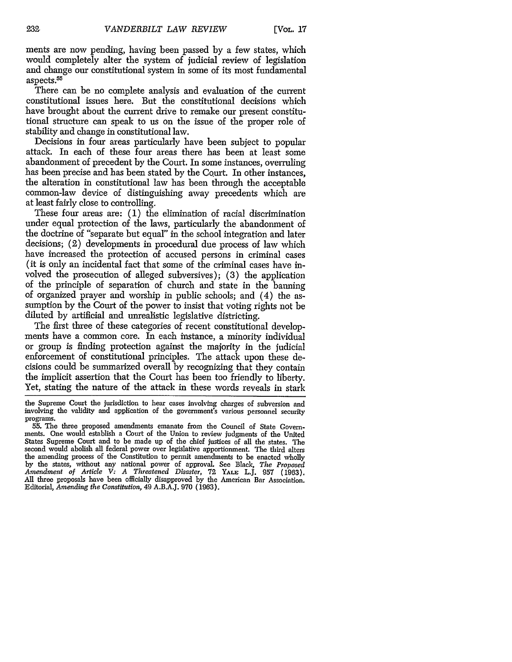ments are now pending, having been passed by a few states, which would completely alter the system of judicial review of legislation and change our constitutional system in some of its most fundamental aspects.55

There can be no complete analysis and evaluation of the current constitutional issues here. But the constitutional decisions which have brought about the current drive to remake our present constitutional structure can speak to us on the issue of the proper role of stability and change in constitutional law.

Decisions in four areas particularly have been subject to popular attack. In each of these four areas there has been at least some abandonment of precedent by the Court. In some instances, overruling has been precise and has been stated by the Court. In other instances, the alteration in constitutional law has been through the acceptable common-law device of distinguishing away precedents which are at least fairly close to controlling.

These four areas are: (1) the elimination of racial discrimination under equal protection of the laws, particularly the abandonment of the doctrine of "separate but equal" in the school integration and later decisions; (2) developments in procedural due process of law which have increased the protection of accused persons in criminal cases (it is only an incidental fact that some of the criminal cases have involved the prosecution of alleged subversives); (3) the application of the principle of separation of church and state in the banning of organized prayer and worship in public schools; and (4) the assumption by the Court of the power to insist that voting rights not be diluted by artificial and unrealistic legislative districting.

The first three of these categories of recent constitutional developments have a common core. In each instance, a minority individual or group is finding protection against the majority in the judicial enforcement of constitutional principles. The attack upon these decisions could be summarized overall by recognizing that they contain the implicit assertion that the Court has been too friendly to liberty. Yet, stating the nature of the attack in these words reveals in stark

the Supreme Court the jurisdiction to hear cases involving charges of subversion and involving the validity and application of the government's various personnel security programs.

<sup>55.</sup> The three proposed amendments emanate from the Council of State Governments. One would establish a Court of the Union to review judgments of the United States Supreme Court and to be made up of the chief justices of all the states. The second would abolish all federal power over legislative apportionment. The third alters the amending process of the Constitution to permit amendments to be enacted wholly by the states, without any national power of approval. See Black, *The Proposed Amendment of Article V: A Threatened Disaster,* **72** YALE L.J. 957 (1963). All three proposals have been officially disapproved by the American Bar Association. Editorial, *Amending the Constitution,* 49 A.B.AJ. **970** (1963).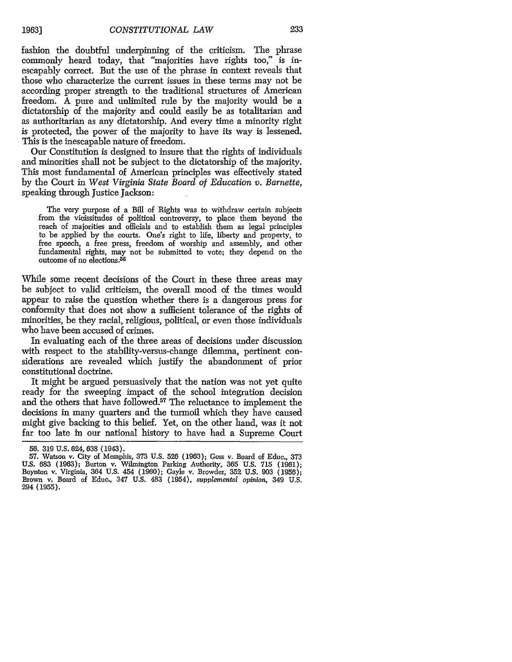fashion the doubtful underpinning of the criticism. The phrase commonly heard today, that "majorities have rights too," is inescapably correct. But the use of the phrase in context reveals that those who characterize the current issues in these terms may not be according proper strength to the traditional structures of American freedom. A pure and unlimited rule by the majority would be a dictatorship of the majority and could easily be as totalitarian and as authoritarian as any dictatorship. And every time a minority right is protected, the power of the majority to have its way is lessened. This is the inescapable nature of freedom.

Our Constitution is designed to insure that the rights of individuals and minorities shall not be subject to the dictatorship of the majority. This most fundamental of American principles was effectively stated by the Court in *West Virginia State Board of Education v. Barnette,* speaking through Justice Jackson:

The very purpose of a Bill of Rights was to withdraw certain subjects from the vicissitudes of political controversy, to place them beyond the reach of majorities and officials and to establish them as legal principles to be applied by the courts. One's right to life, liberty and property, to free speech, a free press, freedom of worship and assembly, and other fundamental rights, may not be submitted to vote; they depend on the outcome of no elections.56

While some recent decisions of the Court in these three areas may be subject to valid criticism, the overall mood of the times would appear to raise the question whether there is a dangerous press for conformity that does not show a sufficient tolerance of the rights of minorities, be they racial, religious, political, or even those individuals who have been accused of crimes.

In evaluating each of the three areas of decisions under discussion with respect to the stability-versus-change dilemma, pertinent considerations are revealed which justify the abandonment of prior constitutional doctrine.

It might be argued persuasively that the nation was not yet quite ready for the sweeping impact of the school integration decision and the others that have followed.<sup>57</sup> The reluctance to implement the decisions in many quarters and the turmoil which they have caused might give backing to this belief. Yet, on the other hand, was it not far too late in our national history to have had a Supreme Court

<sup>56. 319</sup> U.S. 624, 638 (1943).

<sup>57.</sup> Watson v. City of Memphis, 373 U.S. 526 (1963); Goss v. Board of Educ., 373 U.S. 683 (1963); Burton v. Wilmington Parking Authority, 365 U.S. 715 (1961); Boynton v. Virginia, 364 U.S. 454 (1960); Gayle v. Browder, 352 U.S. 903 (1956); Brown v. Board of Educ., 347 U.S. 483 (1954), *supplemental opinion,* 349 U.S. **294 (1955).**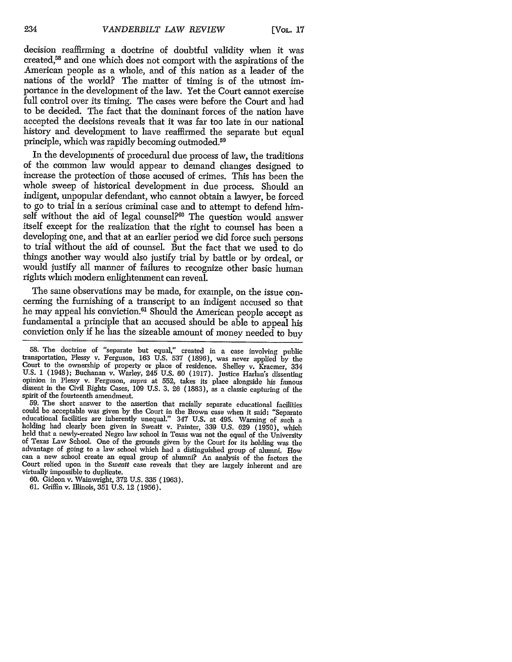decision reaffirming a doctrine of doubtful validity when it was created,<sup>58</sup> and one which does not comport with the aspirations of the American people as a whole, and of this nation as a leader of the nations of the world? The matter of timing is of the utmost importance in the development of the law. Yet the Court cannot exercise full control over its timing. The cases were before the Court and had to be decided. The fact that the dominant forces of the nation have accepted the decisions reveals that it was far too late in our national history and development to have reaffirmed the separate but equal principle, which was rapidly becoming outmoded.<sup>59</sup>

In the developments of procedural due process of law, the traditions of the common law would appear to demand changes designed to increase the protection of those accused of crimes. This has been the whole sweep of historical development in due process. Should an indigent, unpopular defendant, who cannot obtain a lawyer, be forced to go to trial in a serious criminal case and to attempt to defend himself without the aid of legal counsel?<sup>60</sup> The question would answer itself except for the realization that the right to counsel has been a developing one, and that at an earlier period we did force such persons to trial without the aid of counsel. But the fact that we used to do things another way would also justify trial by battle or by ordeal, or would justify all manner of failures to recognize other basic human rights which modem enlightenment can reveal.

The same observations may be made, for example, on the issue concerning the furnishing of a transcript to an indigent accused so that he may appeal his conviction.<sup>61</sup> Should the American people accept as fundamental a principle that an accused should be able to appeal his conviction only if he has the sizeable amount of money needed to buy

59. The short answer to the assertion that racially separate educational facilities could be acceptable was given by the Court in the Brown case when it said: "Separate educational facilities are inherently unequal." 347 U.S. at 495. Warning of such a holding had clearly been given in Sweatt v. Painter, 3 held that a newly-created Negro law school in Texas was not the equal of the University of Texas Law School. One of the grounds given by the Court for its holding was the advantage of going to a law school which had a distinguished group of alumni. How can a new school create an equal group of alumni? An analysis of the factors the Court relied upon in the *Sweatt* case reveals that they are largely inherent and are virtually impossible to duplicate.

61. Griffin v. Illinois, 351 U.S. 12 (1956).

<sup>58.</sup> The doctrine of "separate but equal," created in a case involving public transportation, Plessy v. Ferguson, 163 U.S. 537 (1896), was never applied by the Court to the ownership of property or place of residence. Shelley v. Kraemer, 334 U.S. 1 (1948); Buchanan v. Warley, 245 U.S. 60 (1917). Justice Harlan's dissenting opinion in Plessy v. Ferguson, *supra* at 552, takes its place alongside his famous dissent in the Civil Rights Cases, 109 U.S. **3,** 26 (1883), as a classic capturing of the spirit of the fourteenth amendment.

<sup>60.</sup> Gideon v. Wainwright, 372 U.S. 335 (1963).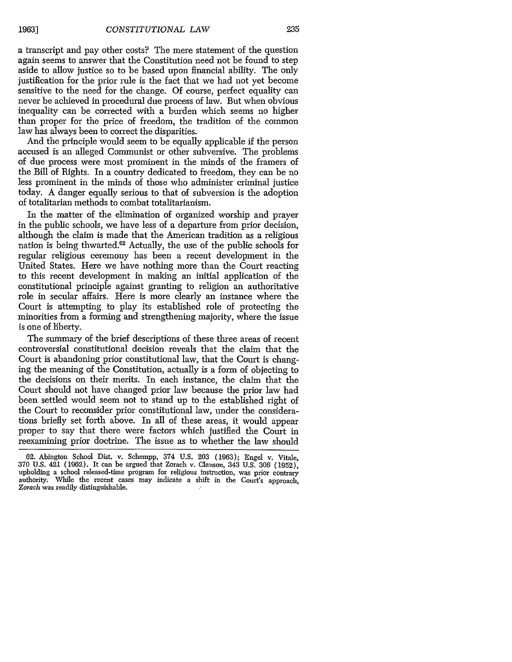a transcript and pay other costs? The mere statement of the question again seems to answer that the Constitution need not be found to step aside to allow justice so to be based upon financial ability. The only justification for the prior rule is the fact that we had not yet become sensitive to the need for the change. Of course, perfect equality can never be achieved in procedural due process of law. But when obvious inequality can be corrected with a burden which seems no higher than proper for the price of freedom, the tradition of the common law has always been to correct the disparities.

And the principle would seem to be equally applicable if the person accused is an alleged Communist or other subversive. The problems of due process were most prominent in the minds of the framers of the Bill of Rights. In a country dedicated to freedom, they can be no less prominent in the minds of those who administer criminal justice today. A danger equally serious to that of subversion is the adoption of totalitarian methods to combat totalitarianism.

In the matter of the elimination of organized worship and prayer in the public schools, we have less of a departure from prior decision, although the claim is made that the American tradition as a religious nation is being thwarted.<sup>62</sup> Actually, the use of the public schools for regular religious ceremony has been a recent development in the United States. Here we have nothing more than the Court reacting to this recent development in making an initial application of the constitutional principle against granting to religion an authoritative role in secular affairs. Here is more clearly an instance where the Court is attempting to play its established role of protecting the minorities from a forming and strengthening majority, where the issue is one of liberty.

The summary of the brief descriptions of these three areas of recent controversial constitutional decision reveals that the claim that the Court is abandoning prior constitutional law, that the Court is changing the meaning of the Constitution, actually is a form of objecting to the decisions on their merits. In each instance, the claim that the Court should not have changed prior law because the prior law had been settled would seem not to stand up to the established right of the Court to reconsider prior constitutional law, under the considerations briefly set forth above. In all of these areas, it would appear proper to say that there were factors which justified the Court in reexamining prior doctrine. The issue as to whether the law should

<sup>62.</sup> Abington School Dist. v. Schempp, 374 U.S. 203 (1963); Engel v. Vitale, 370 U.S. 421 (1962). It can be argued that Zorach v. Clauson, 343 U.S. 306 (1952), upholding a school released-time program for religious instruction, was prior contrary authority. While the recent cases may indicate a shift in the Court's approach, *Zorach* was readily distinguishable.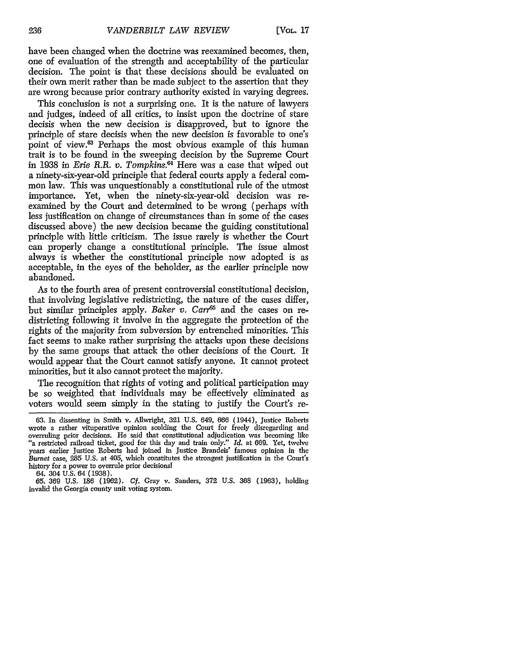have been changed when the doctrine was reexamined becomes, then, one of evaluation of the strength and acceptability of the particular decision. The point is that these decisions should be evaluated on their own merit rather than be made subject to the assertion that they are wrong because prior contrary authority existed in varying degrees.

This conclusion is not a surprising one. It is the nature of lawyers and judges, indeed of all critics, to insist upon the doctrine of stare decisis when the new decision is disapproved, but to ignore the principle of stare decisis when the new decision is favorable to one's point of view.<sup>63</sup> Perhaps the most obvious example of this human trait is to be found in the sweeping decision by the Supreme Court in 1938 in *Erie R.R. v. Tompkins*.<sup>64</sup> Here was a case that wiped out a ninety-six-year-old principle that federal courts apply a federal common law. This was unquestionably a constitutional rule of the utmost importance. Yet, when the ninety-six-year-old decision was reexamined by the Court and determined to be wrong (perhaps with less justification on change of circumstances than in some of the cases discussed above) the new decision became the guiding constitutional principle with little criticism. The issue rarely is whether the Court can properly change a constitutional principle. The issue almost always is whether the constitutional principle now adopted is as acceptable, in the eyes of the beholder, as the earlier principle now abandoned.

As to the fourth area of present controversial constitutional decision, that involving legislative redistricting, the nature of the cases differ, but similar principles apply. *Baker v. Carr<sup>65</sup>* and the cases on redistricting following it involve in the aggregate the protection of the rights of the majority from subversion by entrenched minorities. This fact seems to make rather surprising the attacks upon these decisions by the same groups that attack the other decisions of the Court. It would appear that the Court cannot satisfy anyone. It cannot protect minorities, but it also cannot protect the majority.

The recognition that rights of voting and political participation may be so weighted that individuals may be effectively eliminated as voters would seem simply in the stating to justify the Court's re-

64. 304 U.S. 64 (1938).

<sup>63.</sup> In dissenting in Smith v. Allwright, 321 U.S. 649, 666 (1944), Justice Roberts wrote a rather vituperative opinion scolding the Court for freely disregarding and overruling prior decisions. He said that constitutional adjudication was becoming like "a restricted railroad ticket, good for this day and train only." *Id.* at 669. Yet, twelve years earlier Justice Roberts had joined in Justice Brandeis' famous opinion in the *Burnet* case, 285 U.S. at 405, which constitutes the strongest justification in the Court's history for a power to overrule prior decisionsi

<sup>65. 369</sup> U.S. 186 (1962). *Cf.* Gray v. Sanders, 372 U.S. **368** (1963), holding invalid the Georgia county unit voting system.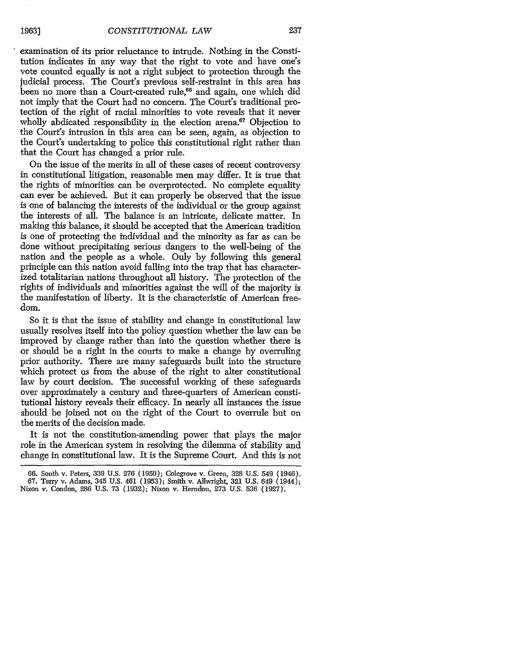examination of its prior reluctance to intrude. Nothing in the Constitution indicates in any way that the right to vote and have one's vote counted equally is not a right subject to protection through the judicial process. The Court's previous self-restraint in this area has been no more than a Court-created rule,<sup>66</sup> and again, one which did not imply that the Court had no concern. The Court's traditional protection of the right of racial minorities to vote reveals that it never wholly abdicated responsibility in the election arena.<sup>67</sup> Objection to the Court's intrusion in this area can be seen, again, as objection to the Court's undertaking to police this constitutional right rather than that the Court has changed a prior rule.

On the issue of the merits in all of these cases of recent controversy in constitutional litigation, reasonable men may differ. It is true that the rights of minorities can be overprotected. No complete equality can ever be achieved. But it can properly be observed that the issue is one of balancing the interests of the individual or the group against the interests of all. The balance is an intricate, delicate matter. In making this balance, it should be accepted that the American tradition is one of protecting the individual and the minority as far as can be done without precipitating serious dangers to the well-being of the nation and the people as a whole. Only by following this general principle can this nation avoid falling into the trap that has characterized totalitarian nations throughout all history. The protection of the rights of individuals and minorities against the will of the majority is the manifestation of liberty. It is the characteristic of American freedom.

So it is that the issue of stability and change in constitutional law usually resolves itself into the policy question whether the law can be improved by change rather than into the question whether there is or should be a right in the courts to make a change by overruling prior authority. There are many safeguards built into the structure which protect us from the abuse of the right to alter constitutional law by court decision. The successful working of these safeguards over approximately a century and three-quarters of American constitutional history reveals their efficacy. In nearly all instances the issue should be joined not on the right of the Court to overrule but on the merits of the decision made.

It is not the constitution-amending power that plays the major role in the American system in resolving the dilemma of stability and change in constitutional law. It is the Supreme Court. And this is not

<sup>66.</sup> South v. Peters, 339 U.S. **276** (1950); Colegrove v. Green, 328 U.S. 549 (1946).

<sup>67.</sup> Terry v. Adams, 345 U.S. 461 (1953); Smith v. Allwright, 321 U.S. 649 (1944); Nixon v. Condon, **286** U.S. 73 (1932); Nixon v. Herndon, **273** U.S. 536 (1927).